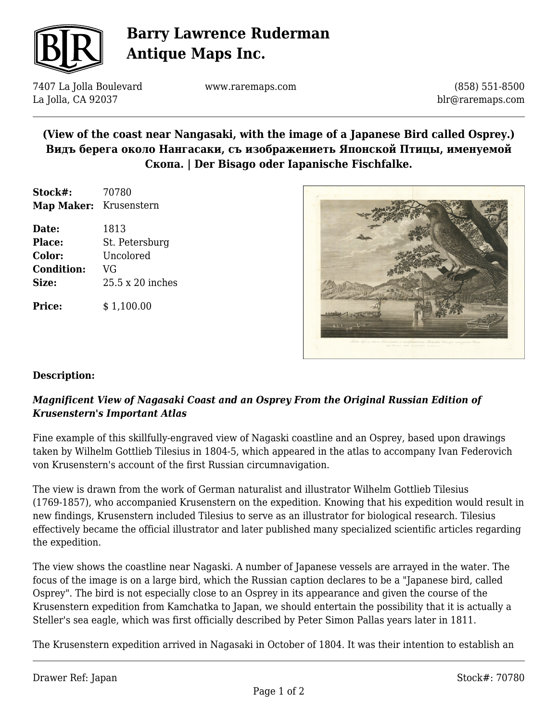

# **Barry Lawrence Ruderman Antique Maps Inc.**

7407 La Jolla Boulevard La Jolla, CA 92037

www.raremaps.com

(858) 551-8500 blr@raremaps.com

# **(View of the coast near Nangasaki, with the image of a Japanese Bird called Osprey.) Видъ берега около Нангасаки, съ изображениеть Японской Птицы, именуемой Скопа. | Der Bisago oder Iapanische Fischfalke.**

| Stock#:                | 70780 |
|------------------------|-------|
| Map Maker: Krusenstern |       |

**Date:** 1813 **Place:** St. Petersburg **Color:** Uncolored **Condition:** VG **Size:** 25.5 x 20 inches

**Price:**  $$ 1,100.00$ 



### **Description:**

### *Magnificent View of Nagasaki Coast and an Osprey From the Original Russian Edition of Krusenstern's Important Atlas*

Fine example of this skillfully-engraved view of Nagaski coastline and an Osprey, based upon drawings taken by Wilhelm Gottlieb Tilesius in 1804-5, which appeared in the atlas to accompany Ivan Federovich von Krusenstern's account of the first Russian circumnavigation.

The view is drawn from the work of German naturalist and illustrator Wilhelm Gottlieb Tilesius (1769-1857), who accompanied Krusenstern on the expedition. Knowing that his expedition would result in new findings, Krusenstern included Tilesius to serve as an illustrator for biological research. Tilesius effectively became the official illustrator and later published many specialized scientific articles regarding the expedition.

The view shows the coastline near Nagaski. A number of Japanese vessels are arrayed in the water. The focus of the image is on a large bird, which the Russian caption declares to be a "Japanese bird, called Osprey". The bird is not especially close to an Osprey in its appearance and given the course of the Krusenstern expedition from Kamchatka to Japan, we should entertain the possibility that it is actually a Steller's sea eagle, which was first officially described by Peter Simon Pallas years later in 1811.

The Krusenstern expedition arrived in Nagasaki in October of 1804. It was their intention to establish an